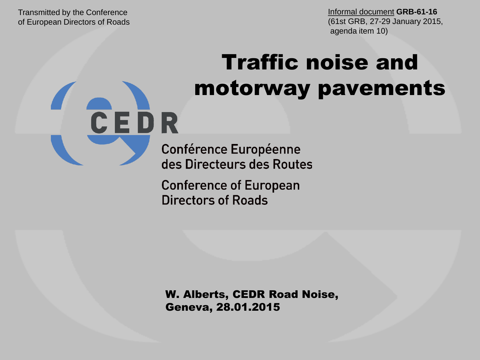Transmitted by the Conference of European Directors of Roads

CEDR

# Traffic noise and motorway pavements

**Conférence Européenne** des Directeurs des Routes

**Conference of European Directors of Roads** 

W. Alberts, CEDR Road Noise, Geneva, 28.01.2015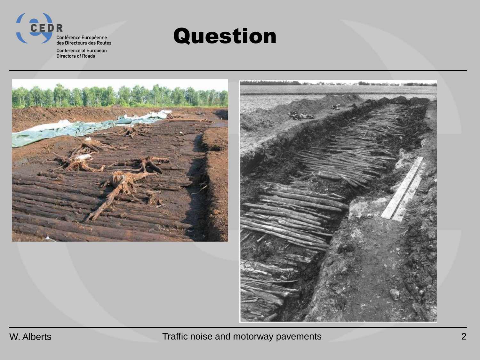

### Question





W. Alberts **Traffic noise and motorway pavements Traffic noise and motorway pavements 2**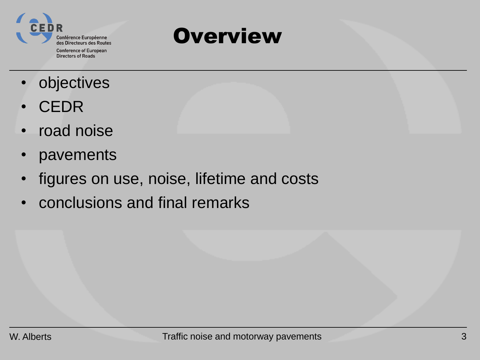

### **Overview**

- **objectives**
- CEDR
- road noise
- pavements
- figures on use, noise, lifetime and costs
- conclusions and final remarks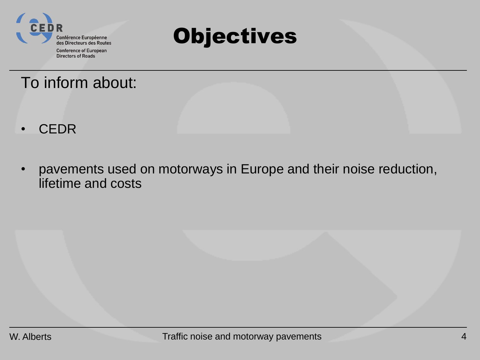



### To inform about:

- CEDR
- pavements used on motorways in Europe and their noise reduction, lifetime and costs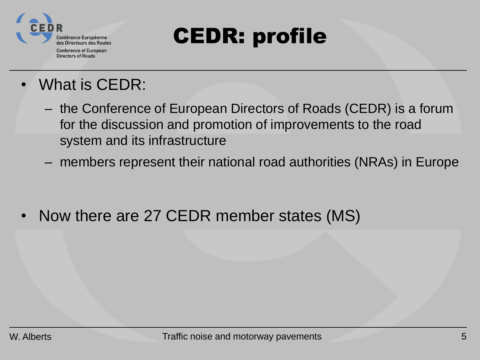

# CEDR: profile

- What is CEDR:
	- the Conference of European Directors of Roads (CEDR) is a forum for the discussion and promotion of improvements to the road system and its infrastructure
	- members represent their national road authorities (NRAs) in Europe

• Now there are 27 CEDR member states (MS)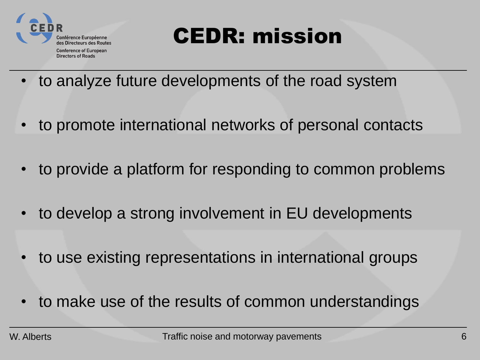

# CEDR: mission

- to analyze future developments of the road system
- to promote international networks of personal contacts
- to provide a platform for responding to common problems
- to develop a strong involvement in EU developments
- to use existing representations in international groups
- to make use of the results of common understandings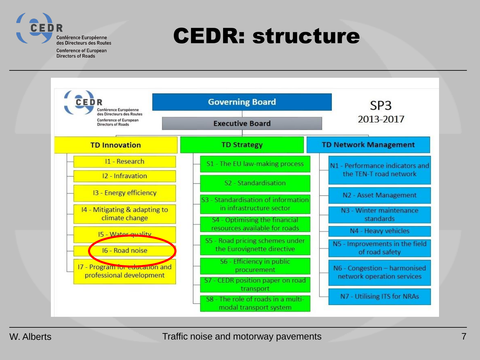

## CEDR: structure

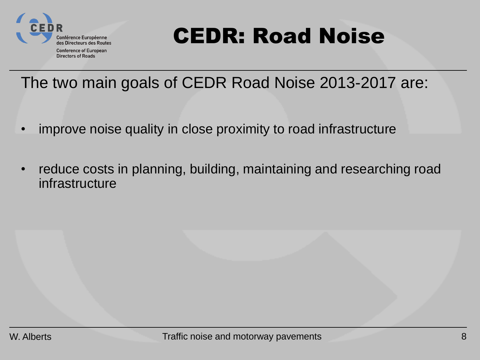

**Directors of Roads** 

# CEDR: Road Noise

### The two main goals of CEDR Road Noise 2013-2017 are:

- improve noise quality in close proximity to road infrastructure
- reduce costs in planning, building, maintaining and researching road infrastructure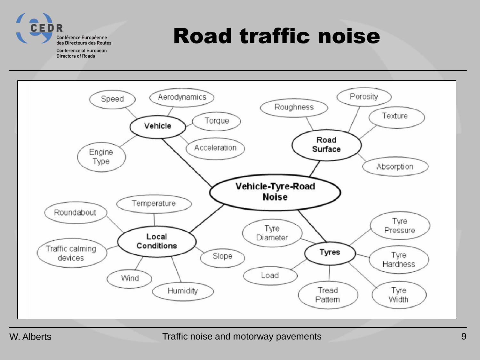

# Road traffic noise

**Conference of European Directors of Roads** 

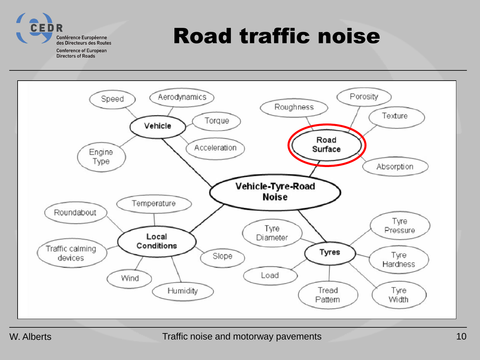

# Road traffic noise

**Conference of European Directors of Roads** 

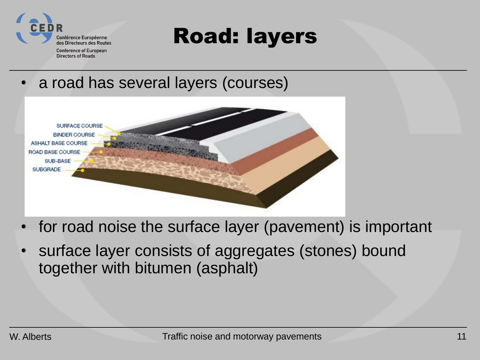

## Road: layers

a road has several layers (courses)



- for road noise the surface layer (pavement) is important
- surface layer consists of aggregates (stones) bound together with bitumen (asphalt)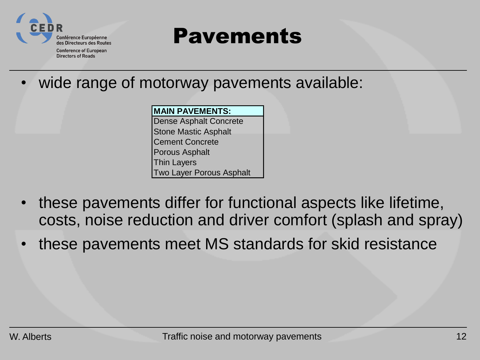

**Directors of Roads** 

### Pavements

wide range of motorway pavements available:

#### **MAIN PAVEMENTS:**

Dense Asphalt Concrete Stone Mastic Asphalt Cement Concrete Porous Asphalt Thin Layers Two Layer Porous Asphalt

- these pavements differ for functional aspects like lifetime, costs, noise reduction and driver comfort (splash and spray)
- these pavements meet MS standards for skid resistance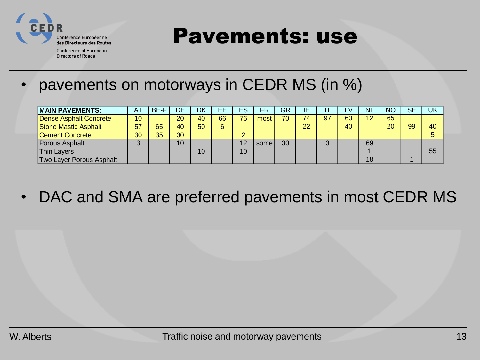

Pavements: use

**Conference of European Directors of Roads** 

### • pavements on motorways in CEDR MS (in %)

| <b>MAIN PAVEMENTS:</b>      | A1 | BE-F | DE | DK | EЕ | ES | FR   | GR | IΕ |    | LV. | <b>NL</b> | <b>NC</b> | <b>SE</b> | UK |
|-----------------------------|----|------|----|----|----|----|------|----|----|----|-----|-----------|-----------|-----------|----|
| Dense Asphalt Concrete      | 10 |      | 20 | 40 | 66 | 76 | most | 70 | 74 | 97 | 60  | 12        | 65        |           |    |
| <b>Stone Mastic Asphalt</b> | 57 | 65   | 40 | 50 | 6  |    |      |    | 22 |    | 40  |           | 20        | 99        | 40 |
| <b>Cement Concrete</b>      | 30 | 35   | 30 |    |    | o  |      |    |    |    |     |           |           |           |    |
| Porous Asphalt              | 3  |      | 10 |    |    | 12 | some | 30 |    | ⌒  |     | 69        |           |           |    |
| <b>Thin Layers</b>          |    |      |    | 10 |    | 10 |      |    |    |    |     |           |           |           | 55 |
| Two Layer Porous Asphalt    |    |      |    |    |    |    |      |    |    |    |     | 18        |           |           |    |

• DAC and SMA are preferred pavements in most CEDR MS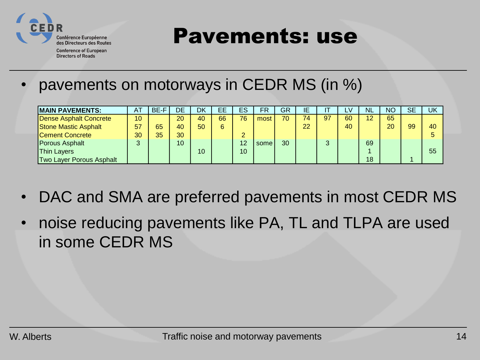

Pavements: use

**Conference of European Directors of Roads** 

### • pavements on motorways in CEDR MS (in %)

| <b>MAIN PAVEMENTS:</b>          | <b>AT</b> | BE-F | DE              | DK              | EЕ | ES | FR    | GR | ΙE |        | ΔV | <b>NL</b> | <b>NC</b> | <b>SE</b> | UK |
|---------------------------------|-----------|------|-----------------|-----------------|----|----|-------|----|----|--------|----|-----------|-----------|-----------|----|
| Dense Asphalt Concrete          | 10        |      | 20              | 40              | 66 | 76 | most  | 70 | 74 | 97     | 60 | 12        | 65        |           |    |
| <b>Stone Mastic Asphalt</b>     | 57        | 65   | 40              | 50              | 6  |    |       |    | 22 |        | 40 |           | 20        | 99        | 40 |
| Cement Concrete                 | 30        | 35   | 30 <sup>°</sup> |                 |    | ົ  |       |    |    |        |    |           |           |           | b  |
| Porous Asphalt                  | 3         |      | 10 <sup>1</sup> |                 |    | 12 | somel | 30 |    | $\sim$ |    | 69        |           |           |    |
| <b>Thin Layers</b>              |           |      |                 | 10 <sup>1</sup> |    | 10 |       |    |    |        |    |           |           |           | 55 |
| <b>Two Layer Porous Asphalt</b> |           |      |                 |                 |    |    |       |    |    |        |    | 18        |           |           |    |

- DAC and SMA are preferred pavements in most CEDR MS
- noise reducing pavements like PA, TL and TLPA are used in some CEDR MS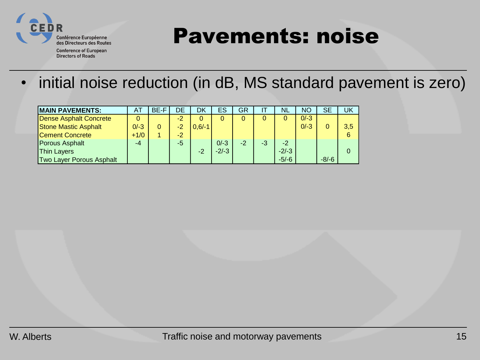

## Pavements: noise

**Conference of European Directors of Roads** 

• initial noise reduction (in dB, MS standard pavement is zero)

| <b>MAIN PAVEMENTS:</b>      | A      | BE-F | DE   | DK       | ES      | GR   |    | NL      | <b>NC</b> | SЕ      | UK  |
|-----------------------------|--------|------|------|----------|---------|------|----|---------|-----------|---------|-----|
| Dense Asphalt Concrete      |        |      | -2   |          |         | 0    |    | 0       | $0/-3$    |         |     |
| <b>Stone Mastic Asphalt</b> | $0/-3$ | 0    |      | $0,6/-1$ |         |      |    |         | $0/-3$    |         | 3,5 |
| <b>Cement Concrete</b>      | $+1/0$ |      | $-2$ |          |         |      |    |         |           |         |     |
| Porous Asphalt              | $-4$   |      | -5   |          | $0/-3$  | $-2$ | -3 | $-2$    |           |         |     |
| Thin Layers                 |        |      |      | $-2$     | $-2/-3$ |      |    | $-2/-3$ |           |         |     |
| Two Layer Porous Asphalt    |        |      |      |          |         |      |    | $-5/-6$ |           | $-8/-6$ |     |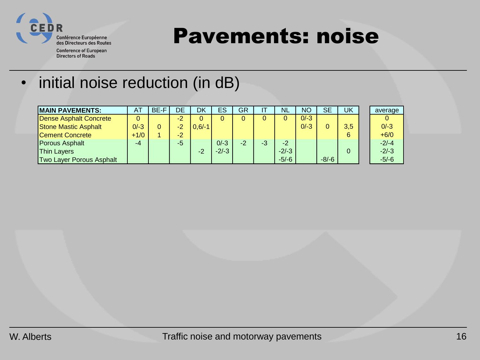

## Pavements: noise

- **Conference of European Directors of Roads**
- initial noise reduction (in dB)

| <b>IMAIN PAVEMENTS:</b>         | ΑT     | BE-F | DE   | DK       | <b>ES</b> | GR   |    | <b>NL</b> | <b>NO</b> | SЕ      | UK  | average |
|---------------------------------|--------|------|------|----------|-----------|------|----|-----------|-----------|---------|-----|---------|
| Dense Asphalt Concrete          |        |      | $-2$ |          |           | 0    |    |           | $0/-3$    |         |     |         |
| <b>Stone Mastic Asphalt</b>     | $0/-3$ |      |      | $0,6/-1$ |           |      |    |           | $0/-3$    |         | 3,5 | $0/-3$  |
| <b>Cement Concrete</b>          | $+1/0$ |      | $-2$ |          |           |      |    |           |           |         | 6   | $+6/0$  |
| Porous Asphalt                  | $-4$   |      | -5   |          | $0/-3$    | $-2$ | -3 | $-2$      |           |         |     | $-2/-4$ |
| <b>Thin Layers</b>              |        |      |      | $-2$     | $-2/-3$   |      |    | $-2/-3$   |           |         |     | $-2/-3$ |
| <b>Two Layer Porous Asphalt</b> |        |      |      |          |           |      |    | $-5/-6$   |           | $-8/-6$ |     | $-5/-6$ |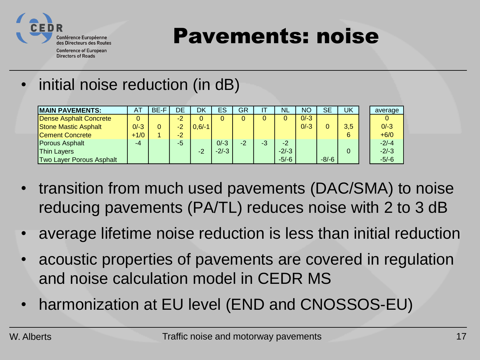

Pavements: noise

- **Conference of European Directors of Roads**
- initial noise reduction (in dB)

| <b>MAIN PAVEMENTS:</b>        | ΑT     | BE-F | DE   | DK       | <b>ES</b> | GR   | Н  | <b>NL</b> | <b>NO</b> | SE      | UK  | average |
|-------------------------------|--------|------|------|----------|-----------|------|----|-----------|-----------|---------|-----|---------|
| <b>Dense Asphalt Concrete</b> |        |      |      |          |           | 0    |    |           | $0/-3$    |         |     |         |
| <b>Stone Mastic Asphalt</b>   | $0/-3$ |      |      | $0.6/-1$ |           |      |    |           | $0/-3$    |         | 3.5 | $0/-3$  |
| Cement Concrete               | $+1/0$ |      | $-2$ |          |           |      |    |           |           |         | 6   | $+6/0$  |
| Porous Asphalt                | $-4$   |      | -5   |          | $0/-3$    | $-2$ | -3 | $-2$      |           |         |     | $-2/-4$ |
| <b>Thin Layers</b>            |        |      |      | -2       | $-2/-3$   |      |    | $-2/-3$   |           |         |     | $-2/-3$ |
| Two Layer Porous Asphalt      |        |      |      |          |           |      |    | $-5/-6$   |           | $-8/-6$ |     | $-5/-6$ |

- transition from much used pavements (DAC/SMA) to noise reducing pavements (PA/TL) reduces noise with 2 to 3 dB
- average lifetime noise reduction is less than initial reduction
- acoustic properties of pavements are covered in regulation and noise calculation model in CEDR MS
- harmonization at EU level (END and CNOSSOS-EU)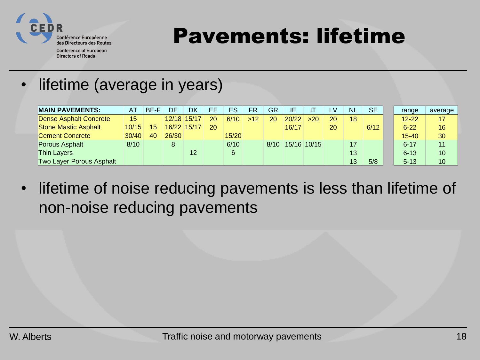

Pavements: lifetime

**Conference of European Directors of Roads** 

• lifetime (average in years)

| <b>MAIN PAVEMENTS:</b>      | <b>AT</b> | BE-F | DE    | DK            | EЕ           | ES    | FR    | GR | ΙE    |                        | LV | <b>NL</b> | <b>SE</b> | range     | average |
|-----------------------------|-----------|------|-------|---------------|--------------|-------|-------|----|-------|------------------------|----|-----------|-----------|-----------|---------|
| Dense Asphalt Concrete      | 15        |      |       | $12/18$ 15/17 | 20           | 6/10  | $>12$ | 20 | 20/22 | $>20$                  | 20 | 18        |           | $12 - 22$ | 17      |
| <b>Stone Mastic Asphalt</b> | 10/15     | 15   |       | 16/22 15/17   | $20^{\circ}$ |       |       |    | 16/17 |                        | 20 |           | 6/12      | $6 - 22$  | 16      |
| <b>Cement Concrete</b>      | 30/40     | 40   | 26/30 |               |              | 15/20 |       |    |       |                        |    |           |           | $15 - 40$ | 30      |
| Porous Asphalt              | 8/10      |      | 8     |               |              | 6/10  |       |    |       | $8/10$   15/16   10/15 |    | 17        |           | $6 - 17$  | 11      |
| <b>Thin Layers</b>          |           |      |       | 12            |              | 6     |       |    |       |                        |    | 13        |           | $6 - 13$  | 10      |
| Two Layer Porous Asphalt    |           |      |       |               |              |       |       |    |       |                        |    | 13        | 5/8       | $5 - 13$  | 10      |

• lifetime of noise reducing pavements is less than lifetime of non-noise reducing pavements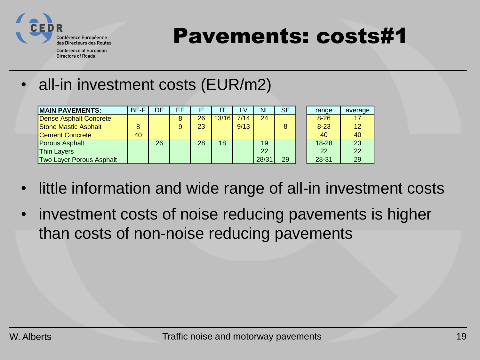

Pavements: costs#1

**Conference of European Directors of Roads** 

### • all-in investment costs (EUR/m2)

| <b>MAIN PAVEMENTS:</b>          | BE-F | DE | EЕ | IΕ |       | <b>V</b> | <b>NL</b> | <b>SE</b> | range     | average |
|---------------------------------|------|----|----|----|-------|----------|-----------|-----------|-----------|---------|
| Dense Asphalt Concrete          |      |    | 8  | 26 | 13/16 | 7/14     | 24        |           | $8 - 26$  | 17      |
| Stone Mastic Asphalt            | 8    |    | 9  | 23 |       | 9/13     |           |           | $8 - 23$  | 12      |
| <b>Cement Concrete</b>          | 40   |    |    |    |       |          |           |           | 40        | 40      |
| <b>Porous Asphalt</b>           |      | 26 |    | 28 | 18    |          | 19        |           | $18 - 28$ | 23      |
| <b>Thin Layers</b>              |      |    |    |    |       |          | 22        |           | 22        | 22      |
| <b>Two Layer Porous Asphalt</b> |      |    |    |    |       |          | 28/31     | 29        | 28-31     | 29      |

- little information and wide range of all-in investment costs
- investment costs of noise reducing pavements is higher than costs of non-noise reducing pavements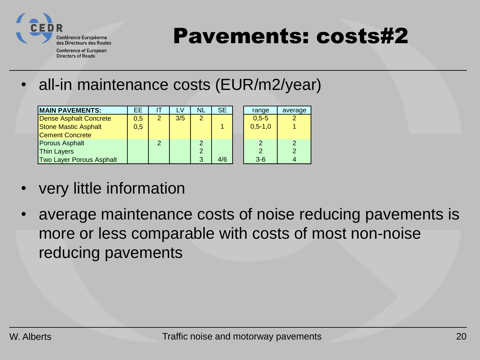

# Pavements: costs#2

**Conference of European Directors of Roads** 

• all-in maintenance costs (EUR/m2/year)

| <b>IMAIN PAVEMENTS:</b>         | EE  |                | LV  | <b>NL</b>     | SE. | range         | average |
|---------------------------------|-----|----------------|-----|---------------|-----|---------------|---------|
| <b>Dense Asphalt Concrete</b>   | 0,5 | $\overline{2}$ | 3/5 | 2             |     | $0.5 - 5$     |         |
| <b>Stone Mastic Asphalt</b>     | 0,5 |                |     |               |     | $0,5-1,0$     |         |
| <b>Cement Concrete</b>          |     |                |     |               |     |               |         |
| Porous Asphalt                  |     | $\mathcal{P}$  |     | $\mathcal{P}$ |     | 2             |         |
| <b>Thin Layers</b>              |     |                |     | 2             |     | $\mathcal{P}$ |         |
| <b>Two Layer Porous Asphalt</b> |     |                |     | 3             | 4/6 | $3-6$         |         |

- very little information
- average maintenance costs of noise reducing pavements is more or less comparable with costs of most non-noise reducing pavements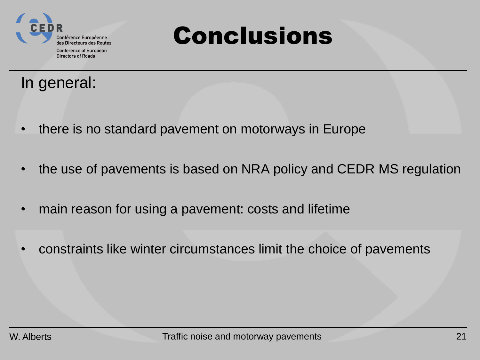

# Conclusions

### In general:

- there is no standard pavement on motorways in Europe
- the use of pavements is based on NRA policy and CEDR MS regulation
- main reason for using a pavement: costs and lifetime
- constraints like winter circumstances limit the choice of pavements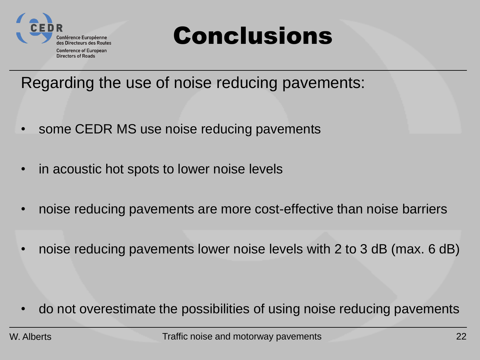

# Conclusions

Regarding the use of noise reducing pavements:

- some CEDR MS use noise reducing pavements
- in acoustic hot spots to lower noise levels
- noise reducing pavements are more cost-effective than noise barriers
- noise reducing pavements lower noise levels with 2 to 3 dB (max. 6 dB)

• do not overestimate the possibilities of using noise reducing pavements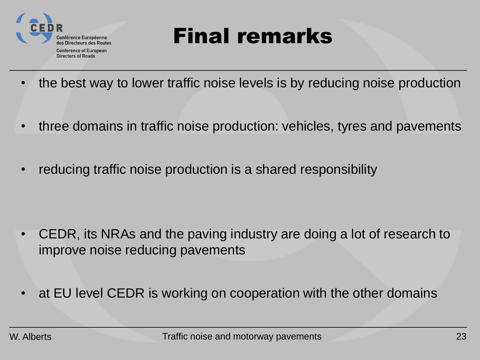

## Final remarks

- the best way to lower traffic noise levels is by reducing noise production
- three domains in traffic noise production: vehicles, tyres and pavements
- reducing traffic noise production is a shared responsibility

- CEDR, its NRAs and the paving industry are doing a lot of research to improve noise reducing pavements
- at EU level CEDR is working on cooperation with the other domains